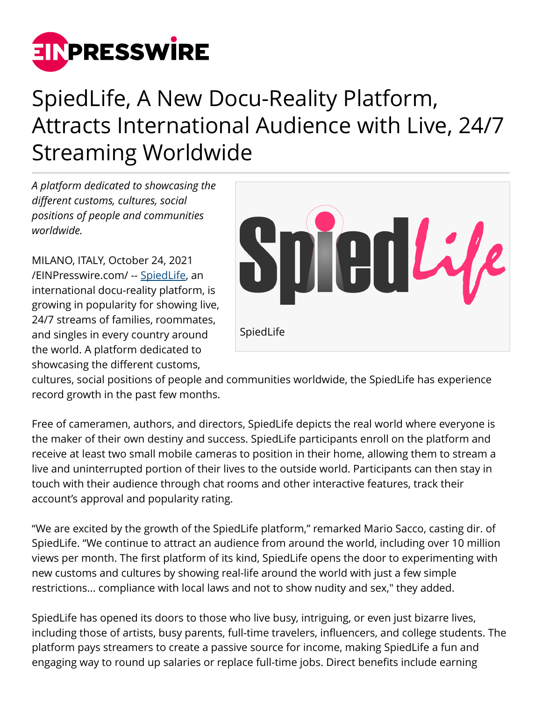

## SpiedLife, A New Docu-Reality Platform, Attracts International Audience with Live, 24/7 Streaming Worldwide

*A platform dedicated to showcasing the different customs, cultures, social positions of people and communities worldwide.*

MILANO, ITALY, October 24, 2021 [/EINPresswire.com/](http://www.einpresswire.com) -- [SpiedLife,](https://www.spiedlife.com/) an international docu-reality platform, is growing in popularity for showing live, 24/7 streams of families, roommates, and singles in every country around the world. A platform dedicated to showcasing the different customs,



cultures, social positions of people and communities worldwide, the SpiedLife has experience record growth in the past few months.

Free of cameramen, authors, and directors, SpiedLife depicts the real world where everyone is the maker of their own destiny and success. SpiedLife participants enroll on the platform and receive at least two small mobile cameras to position in their home, allowing them to stream a live and uninterrupted portion of their lives to the outside world. Participants can then stay in touch with their audience through chat rooms and other interactive features, track their account's approval and popularity rating.

"We are excited by the growth of the SpiedLife platform," remarked Mario Sacco, casting dir. of SpiedLife. "We continue to attract an audience from around the world, including over 10 million views per month. The first platform of its kind, SpiedLife opens the door to experimenting with new customs and cultures by showing real-life around the world with just a few simple restrictions... compliance with local laws and not to show nudity and sex," they added.

SpiedLife has opened its doors to those who live busy, intriguing, or even just bizarre lives, including those of artists, busy parents, full-time travelers, influencers, and college students. The platform pays streamers to create a passive source for income, making SpiedLife a fun and engaging way to round up salaries or replace full-time jobs. Direct benefits include earning